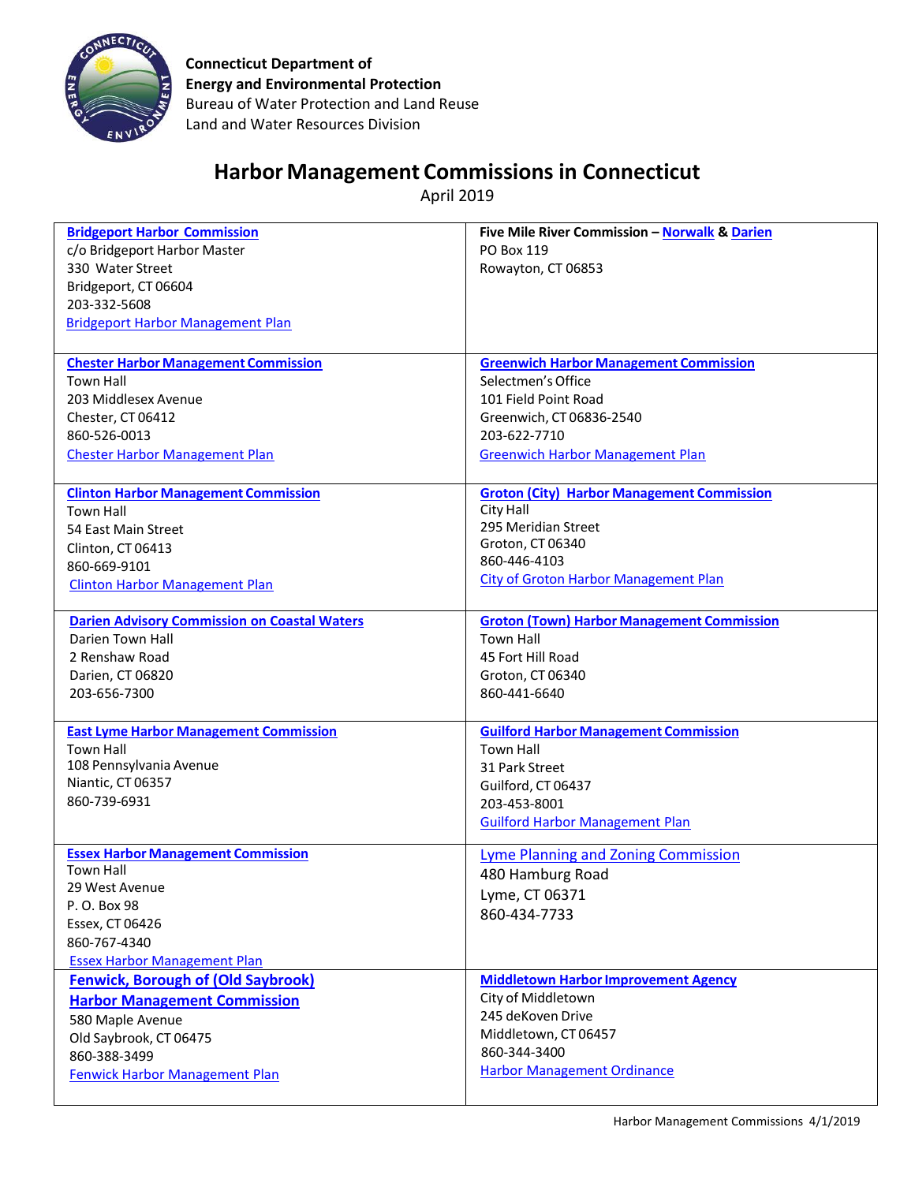

**Connecticut Department of Energy and Environmental Protection** Bureau of Water Protection and Land Reuse Land and Water Resources Division

## **Harbor Management Commissions in Connecticut**

April 2019

| <b>Bridgeport Harbor Commission</b>                 | Five Mile River Commission - Norwalk & Darien     |
|-----------------------------------------------------|---------------------------------------------------|
| c/o Bridgeport Harbor Master                        | PO Box 119                                        |
| 330 Water Street                                    | Rowayton, CT 06853                                |
| Bridgeport, CT 06604                                |                                                   |
| 203-332-5608                                        |                                                   |
|                                                     |                                                   |
| <b>Bridgeport Harbor Management Plan</b>            |                                                   |
|                                                     |                                                   |
| <b>Chester Harbor Management Commission</b>         | <b>Greenwich Harbor Management Commission</b>     |
| <b>Town Hall</b>                                    | Selectmen's Office                                |
| 203 Middlesex Avenue                                | 101 Field Point Road                              |
| Chester, CT 06412                                   | Greenwich, CT 06836-2540                          |
| 860-526-0013                                        | 203-622-7710                                      |
| <b>Chester Harbor Management Plan</b>               | <b>Greenwich Harbor Management Plan</b>           |
|                                                     |                                                   |
| <b>Clinton Harbor Management Commission</b>         | <b>Groton (City) Harbor Management Commission</b> |
| <b>Town Hall</b>                                    | City Hall                                         |
| 54 East Main Street                                 | 295 Meridian Street                               |
| Clinton, CT 06413                                   | Groton, CT 06340                                  |
| 860-669-9101                                        | 860-446-4103                                      |
| <b>Clinton Harbor Management Plan</b>               | <b>City of Groton Harbor Management Plan</b>      |
|                                                     |                                                   |
| <b>Darien Advisory Commission on Coastal Waters</b> | <b>Groton (Town) Harbor Management Commission</b> |
| Darien Town Hall                                    | <b>Town Hall</b>                                  |
| 2 Renshaw Road                                      | 45 Fort Hill Road                                 |
| Darien, CT 06820                                    | Groton, CT 06340                                  |
| 203-656-7300                                        | 860-441-6640                                      |
|                                                     |                                                   |
| <b>East Lyme Harbor Management Commission</b>       | <b>Guilford Harbor Management Commission</b>      |
| <b>Town Hall</b>                                    | <b>Town Hall</b>                                  |
| 108 Pennsylvania Avenue                             | 31 Park Street                                    |
| Niantic, CT 06357<br>860-739-6931                   | Guilford, CT 06437                                |
|                                                     | 203-453-8001                                      |
|                                                     | <b>Guilford Harbor Management Plan</b>            |
| <b>Essex Harbor Management Commission</b>           | Lyme Planning and Zoning Commission               |
| <b>Town Hall</b>                                    | 480 Hamburg Road                                  |
| 29 West Avenue                                      | Lyme, CT 06371                                    |
| P. O. Box 98                                        |                                                   |
| Essex, CT 06426                                     | 860-434-7733                                      |
| 860-767-4340                                        |                                                   |
| <b>Essex Harbor Management Plan</b>                 |                                                   |
| <b>Fenwick, Borough of (Old Saybrook)</b>           | <b>Middletown Harbor Improvement Agency</b>       |
| <b>Harbor Management Commission</b>                 | City of Middletown                                |
| 580 Maple Avenue                                    | 245 deKoven Drive                                 |
| Old Saybrook, CT 06475                              | Middletown, CT 06457                              |
| 860-388-3499                                        | 860-344-3400                                      |
| <b>Fenwick Harbor Management Plan</b>               | <b>Harbor Management Ordinance</b>                |
|                                                     |                                                   |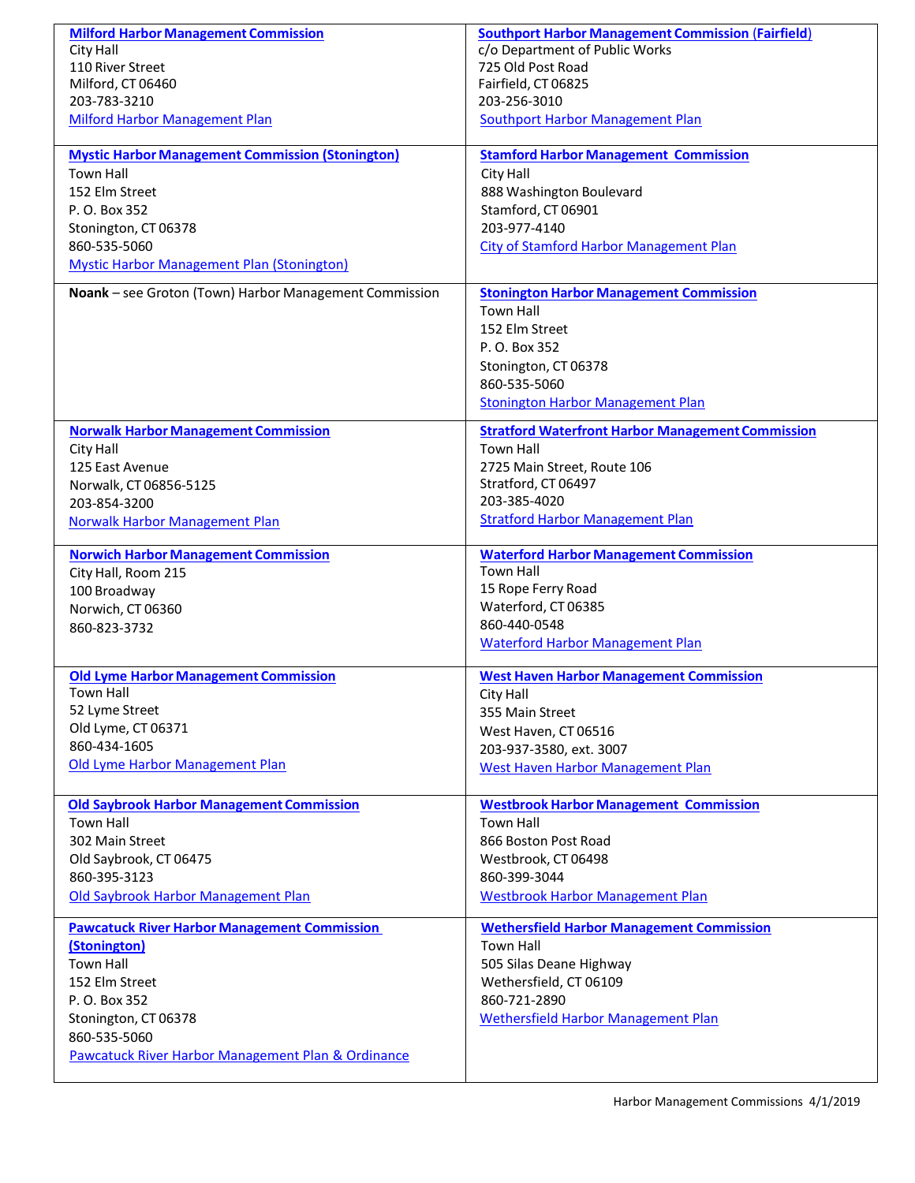| <b>Milford Harbor Management Commission</b>             | <b>Southport Harbor Management Commission (Fairfield)</b> |
|---------------------------------------------------------|-----------------------------------------------------------|
| City Hall                                               | c/o Department of Public Works                            |
| 110 River Street                                        | 725 Old Post Road                                         |
| Milford, CT 06460                                       | Fairfield, CT 06825                                       |
| 203-783-3210                                            | 203-256-3010                                              |
| Milford Harbor Management Plan                          | <b>Southport Harbor Management Plan</b>                   |
| <b>Mystic Harbor Management Commission (Stonington)</b> | <b>Stamford Harbor Management Commission</b>              |
| <b>Town Hall</b>                                        | City Hall                                                 |
| 152 Elm Street                                          | 888 Washington Boulevard                                  |
| P. O. Box 352                                           | Stamford, CT 06901                                        |
| Stonington, CT 06378                                    | 203-977-4140                                              |
| 860-535-5060                                            | <b>City of Stamford Harbor Management Plan</b>            |
| <b>Mystic Harbor Management Plan (Stonington)</b>       |                                                           |
|                                                         |                                                           |
| Noank - see Groton (Town) Harbor Management Commission  | <b>Stonington Harbor Management Commission</b>            |
|                                                         | <b>Town Hall</b>                                          |
|                                                         | 152 Elm Street                                            |
|                                                         | P. O. Box 352                                             |
|                                                         | Stonington, CT 06378                                      |
|                                                         | 860-535-5060                                              |
|                                                         | <b>Stonington Harbor Management Plan</b>                  |
| <b>Norwalk Harbor Management Commission</b>             | <b>Stratford Waterfront Harbor Management Commission</b>  |
| City Hall                                               | <b>Town Hall</b>                                          |
| 125 East Avenue                                         | 2725 Main Street, Route 106                               |
| Norwalk, CT 06856-5125                                  | Stratford, CT 06497                                       |
| 203-854-3200                                            | 203-385-4020                                              |
| <b>Norwalk Harbor Management Plan</b>                   | <b>Stratford Harbor Management Plan</b>                   |
| <b>Norwich Harbor Management Commission</b>             | <b>Waterford Harbor Management Commission</b>             |
| City Hall, Room 215                                     | <b>Town Hall</b>                                          |
| 100 Broadway                                            | 15 Rope Ferry Road                                        |
| Norwich, CT 06360                                       | Waterford, CT 06385                                       |
| 860-823-3732                                            | 860-440-0548                                              |
|                                                         | <b>Waterford Harbor Management Plan</b>                   |
| <b>Old Lyme Harbor Management Commission</b>            | <b>West Haven Harbor Management Commission</b>            |
| Town Hall                                               | City Hall                                                 |
| 52 Lyme Street                                          | 355 Main Street                                           |
| Old Lyme, CT 06371                                      | West Haven, CT 06516                                      |
| 860-434-1605                                            | 203-937-3580, ext. 3007                                   |
| Old Lyme Harbor Management Plan                         | West Haven Harbor Management Plan                         |
|                                                         |                                                           |
| <b>Old Saybrook Harbor Management Commission</b>        | <b>Westbrook Harbor Management Commission</b>             |
| <b>Town Hall</b>                                        | <b>Town Hall</b>                                          |
| 302 Main Street                                         | 866 Boston Post Road                                      |
| Old Saybrook, CT 06475                                  | Westbrook, CT 06498                                       |
| 860-395-3123                                            | 860-399-3044                                              |
| Old Saybrook Harbor Management Plan                     | <b>Westbrook Harbor Management Plan</b>                   |
| <b>Pawcatuck River Harbor Management Commission</b>     | <b>Wethersfield Harbor Management Commission</b>          |
| (Stonington)                                            | Town Hall                                                 |
| <b>Town Hall</b>                                        | 505 Silas Deane Highway                                   |
| 152 Elm Street                                          | Wethersfield, CT 06109                                    |
| P. O. Box 352                                           | 860-721-2890                                              |
| Stonington, CT 06378                                    | Wethersfield Harbor Management Plan                       |
| 860-535-5060                                            |                                                           |
| Pawcatuck River Harbor Management Plan & Ordinance      |                                                           |